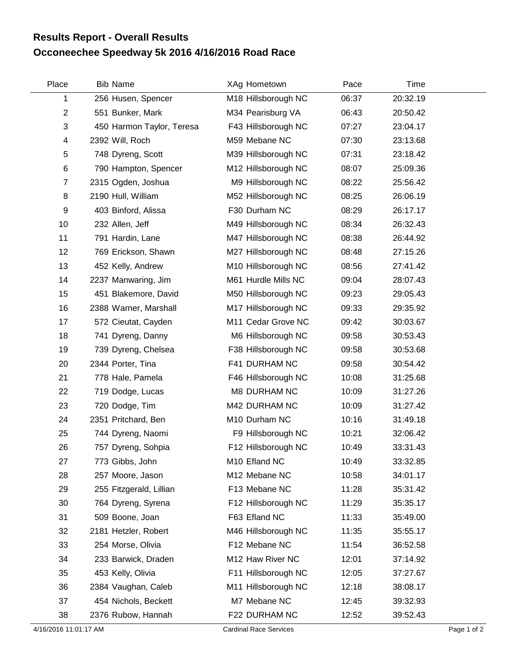## **Occoneechee Speedway 5k 2016 4/16/2016 Road Race Results Report - Overall Results**

| Place          | <b>Bib Name</b>           | XAg Hometown        | Pace  | Time     |  |
|----------------|---------------------------|---------------------|-------|----------|--|
| 1              | 256 Husen, Spencer        | M18 Hillsborough NC | 06:37 | 20:32.19 |  |
| $\mathbf{2}$   | 551 Bunker, Mark          | M34 Pearisburg VA   | 06:43 | 20:50.42 |  |
| 3              | 450 Harmon Taylor, Teresa | F43 Hillsborough NC | 07:27 | 23:04.17 |  |
| 4              | 2392 Will, Roch           | M59 Mebane NC       | 07:30 | 23:13.68 |  |
| 5              | 748 Dyreng, Scott         | M39 Hillsborough NC | 07:31 | 23:18.42 |  |
| 6              | 790 Hampton, Spencer      | M12 Hillsborough NC | 08:07 | 25:09.36 |  |
| $\overline{7}$ | 2315 Ogden, Joshua        | M9 Hillsborough NC  | 08:22 | 25:56.42 |  |
| 8              | 2190 Hull, William        | M52 Hillsborough NC | 08:25 | 26:06.19 |  |
| 9              | 403 Binford, Alissa       | F30 Durham NC       | 08:29 | 26:17.17 |  |
| 10             | 232 Allen, Jeff           | M49 Hillsborough NC | 08:34 | 26:32.43 |  |
| 11             | 791 Hardin, Lane          | M47 Hillsborough NC | 08:38 | 26:44.92 |  |
| 12             | 769 Erickson, Shawn       | M27 Hillsborough NC | 08:48 | 27:15.26 |  |
| 13             | 452 Kelly, Andrew         | M10 Hillsborough NC | 08:56 | 27:41.42 |  |
| 14             | 2237 Manwaring, Jim       | M61 Hurdle Mills NC | 09:04 | 28:07.43 |  |
| 15             | 451 Blakemore, David      | M50 Hillsborough NC | 09:23 | 29:05.43 |  |
| 16             | 2388 Warner, Marshall     | M17 Hillsborough NC | 09:33 | 29:35.92 |  |
| 17             | 572 Cieutat, Cayden       | M11 Cedar Grove NC  | 09:42 | 30:03.67 |  |
| 18             | 741 Dyreng, Danny         | M6 Hillsborough NC  | 09:58 | 30:53.43 |  |
| 19             | 739 Dyreng, Chelsea       | F38 Hillsborough NC | 09:58 | 30:53.68 |  |
| 20             | 2344 Porter, Tina         | F41 DURHAM NC       | 09:58 | 30:54.42 |  |
| 21             | 778 Hale, Pamela          | F46 Hillsborough NC | 10:08 | 31:25.68 |  |
| 22             | 719 Dodge, Lucas          | M8 DURHAM NC        | 10:09 | 31:27.26 |  |
| 23             | 720 Dodge, Tim            | M42 DURHAM NC       | 10:09 | 31:27.42 |  |
| 24             | 2351 Pritchard, Ben       | M10 Durham NC       | 10:16 | 31:49.18 |  |
| 25             | 744 Dyreng, Naomi         | F9 Hillsborough NC  | 10:21 | 32:06.42 |  |
| 26             | 757 Dyreng, Sohpia        | F12 Hillsborough NC | 10:49 | 33:31.43 |  |
| 27             | 773 Gibbs, John           | M10 Efland NC       | 10:49 | 33:32.85 |  |
| 28             | 257 Moore, Jason          | M12 Mebane NC       | 10:58 | 34:01.17 |  |
| 29             | 255 Fitzgerald, Lillian   | F13 Mebane NC       | 11:28 | 35:31.42 |  |
| 30             | 764 Dyreng, Syrena        | F12 Hillsborough NC | 11:29 | 35:35.17 |  |
| 31             | 509 Boone, Joan           | F63 Efland NC       | 11:33 | 35:49.00 |  |
| 32             | 2181 Hetzler, Robert      | M46 Hillsborough NC | 11:35 | 35:55.17 |  |
| 33             | 254 Morse, Olivia         | F12 Mebane NC       | 11:54 | 36:52.58 |  |
| 34             | 233 Barwick, Draden       | M12 Haw River NC    | 12:01 | 37:14.92 |  |
| 35             | 453 Kelly, Olivia         | F11 Hillsborough NC | 12:05 | 37:27.67 |  |
| 36             | 2384 Vaughan, Caleb       | M11 Hillsborough NC | 12:18 | 38:08.17 |  |
| 37             | 454 Nichols, Beckett      | M7 Mebane NC        | 12:45 | 39:32.93 |  |
| 38             | 2376 Rubow, Hannah        | F22 DURHAM NC       | 12:52 | 39:52.43 |  |